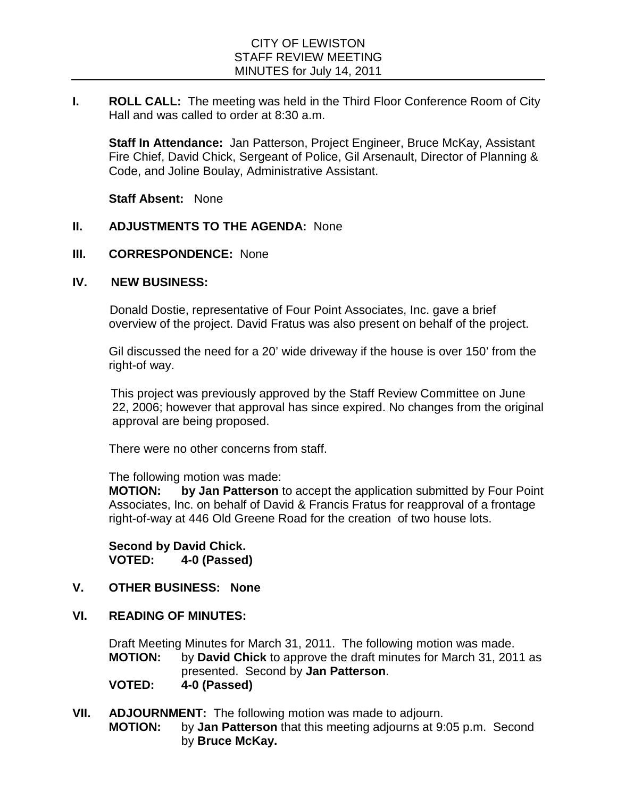**I. ROLL CALL:** The meeting was held in the Third Floor Conference Room of City Hall and was called to order at 8:30 a.m.

**Staff In Attendance:** Jan Patterson, Project Engineer, Bruce McKay, Assistant Fire Chief, David Chick, Sergeant of Police, Gil Arsenault, Director of Planning & Code, and Joline Boulay, Administrative Assistant.

**Staff Absent:** None

## **II. ADJUSTMENTS TO THE AGENDA:** None

### **III. CORRESPONDENCE:** None

#### **IV. NEW BUSINESS:**

Donald Dostie, representative of Four Point Associates, Inc. gave a brief overview of the project. David Fratus was also present on behalf of the project.

Gil discussed the need for a 20' wide driveway if the house is over 150' from the right-of way.

 This project was previously approved by the Staff Review Committee on June 22, 2006; however that approval has since expired. No changes from the original approval are being proposed.

There were no other concerns from staff.

The following motion was made:

**MOTION: by Jan Patterson** to accept the application submitted by Four Point Associates, Inc. on behalf of David & Francis Fratus for reapproval of a frontage right-of-way at 446 Old Greene Road for the creation of two house lots.

**Second by David Chick. VOTED: 4-0 (Passed)**

## **V. OTHER BUSINESS: None**

**VI. READING OF MINUTES:**

Draft Meeting Minutes for March 31, 2011. The following motion was made. **MOTION:** by **David Chick** to approve the draft minutes for March 31, 2011 as presented. Second by **Jan Patterson**.

**VOTED: 4-0 (Passed)**

**VII. ADJOURNMENT:** The following motion was made to adjourn.<br>**MOTION:** by **Jan Patterson** that this meeting adjourns at 9: by **Jan Patterson** that this meeting adjourns at 9:05 p.m. Second by **Bruce McKay.**